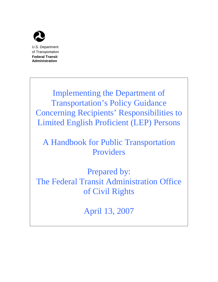

**Administration**

Implementing the Department of Transportation's Policy Guidance Concerning Recipients' Responsibilities to Limited English Proficient (LEP) Persons

# A Handbook for Public Transportation Providers

Prepared by: The Federal Transit Administration Office of Civil Rights

April 13, 2007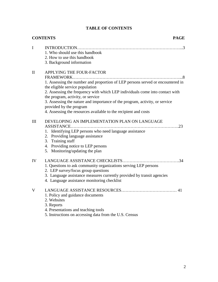|  | <b>TABLE OF CONTENTS</b> |
|--|--------------------------|
|--|--------------------------|

|              | <b>CONTENTS</b><br><b>PAGE</b>                                                                                                                                                                                                                                                                                                                                                                                                                  |
|--------------|-------------------------------------------------------------------------------------------------------------------------------------------------------------------------------------------------------------------------------------------------------------------------------------------------------------------------------------------------------------------------------------------------------------------------------------------------|
| I            | 1. Who should use this handbook<br>2. How to use this handbook<br>3. Background information                                                                                                                                                                                                                                                                                                                                                     |
| $\mathbf{I}$ | APPLYING THE FOUR-FACTOR<br>1. Assessing the number and proportion of LEP persons served or encountered in<br>the eligible service population<br>2. Assessing the frequency with which LEP individuals come into contact with<br>the program, activity, or service<br>3. Assessing the nature and importance of the program, activity, or service<br>provided by the program<br>4. Assessing the resources available to the recipient and costs |
| III          | DEVELOPING AN IMPLEMENTATION PLAN ON LANGUAGE<br>ASSISTANCE<br>1. Identifying LEP persons who need language assistance<br>2. Providing language assistance<br>3. Training staff<br>4. Providing notice to LEP persons<br>5. Monitoring/updating the plan                                                                                                                                                                                        |
| IV           | 1. Questions to ask community organizations serving LEP persons<br>2. LEP survey/focus group questions<br>3. Language assistance measures currently provided by transit agencies<br>4. Language assistance monitoring checklist                                                                                                                                                                                                                 |
| V            | 1. Policy and guidance documents<br>2. Websites<br>3. Reports<br>4. Presentations and teaching tools<br>5. Instructions on accessing data from the U.S. Census                                                                                                                                                                                                                                                                                  |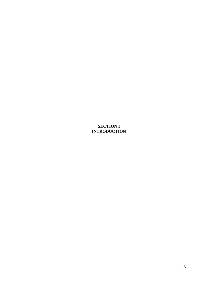# **SECTION I INTRODUCTION**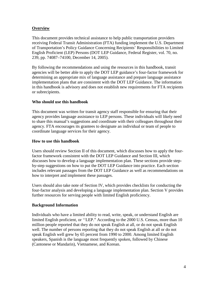# **Overview**

This document provides technical assistance to help public transportation providers receiving Federal Transit Administration (FTA) funding implement the U.S. Department of Transportation's Policy Guidance Concerning Recipients' Responsibilities to Limited English Proficient (LEP) Persons (DOT LEP Guidance, Federal Register, vol. 70, no. 239, pp. 74087–74100, December 14, 2005).

By following the recommendations and using the resources in this handbook, transit agencies will be better able to apply the DOT LEP guidance's four-factor framework for determining an appropriate mix of language assistance and prepare language assistance implementation plans that are consistent with the DOT LEP Guidance. The information in this handbook is advisory and does not establish new requirements for FTA recipients or subrecipients.

## **Who should use this handbook**

This document was written for transit agency staff responsible for ensuring that their agency provides language assistance to LEP persons. These individuals will likely need to share this manual's suggestions and coordinate with their colleagues throughout their agency. FTA encourages its grantees to designate an individual or team of people to coordinate language services for their agency.

## **How to use this handbook**

Users should review Section II of this document, which discusses how to apply the fourfactor framework consistent with the DOT LEP Guidance and Section III, which discusses how to develop a language implementation plan. These sections provide stepby-step suggestions on how to put the DOT LEP Guidance into practice. Each section includes relevant passages from the DOT LEP Guidance as well as recommendations on how to interpret and implement these passages.

Users should also take note of Section IV, which provides checklists for conducting the four-factor analysis and developing a language implementation plan. Section V provides further resources for serving people with limited English proficiency.

#### **Background Information**

Individuals who have a limited ability to read, write, speak, or understand English are limited English proficient, or ''LEP." According to the 2000 U.S. Census, more than 10 million people reported that they do not speak English at all, or do not speak English well. The number of persons reporting that they do not speak English at all or do not speak English well grew by 65 percent from 1990 to 2000. Among limited English speakers, Spanish is the language most frequently spoken, followed by Chinese (Cantonese or Mandarin), Vietnamese, and Korean.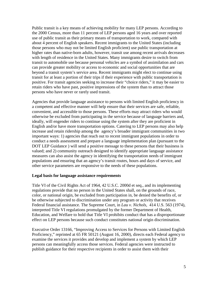Public transit is a key means of achieving mobility for many LEP persons. According to the 2000 Census, more than 11 percent of LEP persons aged 16 years and over reported use of public transit as their primary means of transportation to work, compared with about 4 percent of English speakers. Recent immigrants to the United States (including those persons who may not be limited English proficient) use public transportation at higher rates than native-born adults, however, transit use among recent arrivals decreases with length of residence in the United States. Many immigrants desire to switch from transit to automobile use because personal vehicles are a symbol of assimilation and cars can provide greater mobility or access to economic and social opportunities that are beyond a transit system's service area. Recent immigrants might elect to continue using transit for at least a portion of their trips if their experience with public transportation is positive. For transit agencies seeking to increase their "choice riders," it may be easier to retain riders who have past, positive impressions of the system than to attract those persons who have never or rarely used transit.

Agencies that provide language assistance to persons with limited English proficiency in a competent and effective manner will help ensure that their services are safe, reliable, convenient, and accessible to those persons. These efforts may attract riders who would otherwise be excluded from participating in the service because of language barriers and, ideally, will engender riders to continue using the system after they are proficient in English and/or have more transportation options. Catering to LEP persons may also help increase and retain ridership among the agency's broader immigrant communities in two important ways: 1) agencies that reach out to recent immigrant populations in order to conduct a needs assessment and prepare a language implementation plan (pursuant to the DOT LEP Guidance ) will send a positive message to these persons that their business is valued; and 2) community outreach designed to identify appropriate language assistance measures can also assist the agency in identifying the transportation needs of immigrant populations and ensuring that an agency's transit routes, hours and days of service, and other service parameters are responsive to the needs of these populations.

#### **Legal basis for language assistance requirements**

Title VI of the Civil Rights Act of 1964, 42 U.S.C. 2000d et seq., and its implementing regulations provide that no person in the United States shall, on the grounds of race, color, or national origin, be excluded from participation in, be denied the benefits of, or be otherwise subjected to discrimination under any program or activity that receives Federal financial assistance. The Supreme Court, in *Lau v. Nichols*, 414 U.S. 563 (1974), interpreted Title VI regulations promulgated by the former Department of Health, Education, and Welfare to hold that Title VI prohibits conduct that has a disproportionate effect on LEP persons because such conduct constitutes national origin discrimination.

Executive Order 13166, "Improving Access to Services for Persons with Limited English Proficiency," reprinted at 65 FR 50121 (August 16, 2000), directs each Federal agency to examine the services it provides and develop and implement a system by which LEP persons can meaningfully access those services. Federal agencies were instructed to publish guidance for their respective recipients in order to assist them with their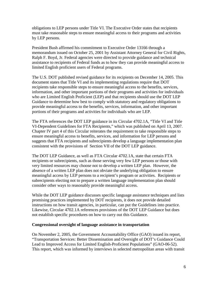obligations to LEP persons under Title VI. The Executive Order states that recipients must take reasonable steps to ensure meaningful access to their programs and activities by LEP persons.

President Bush affirmed his commitment to Executive Order 13166 through a memorandum issued on October 25, 2001 by Assistant Attorney General for Civil Rights, Ralph F. Boyd, Jr. Federal agencies were directed to provide guidance and technical assistance to recipients of Federal funds as to how they can provide meaningful access to limited English proficient users of Federal programs.

The U.S. DOT published revised guidance for its recipients on December 14, 2005. This document states that Title VI and its implementing regulations require that DOT recipients take responsible steps to ensure meaningful access to the benefits, services, information, and other important portions of their programs and activities for individuals who are Limited English Proficient (LEP) and that recipients should use the DOT LEP Guidance to determine how best to comply with statutory and regulatory obligations to provide meaningful access to the benefits, services, information, and other important portions of their programs and activities for individuals who are LEP.

The FTA references the DOT LEP guidance in its Circular 4702.1A, "Title VI and Title VI-Dependent Guidelines for FTA Recipients," which was published on April 13, 2007. Chapter IV part 4 of this Circular reiterates the requirement to take responsible steps to ensure meaningful access to benefits, services, and information for LEP persons and suggests that FTA recipients and subrecipients develop a language implementation plan consistent with the provisions of Section VII of the DOT LEP guidance.

The DOT LEP Guidance, as well as FTA Circular 4702.1A, state that certain FTA recipients or subrecipients, such as those serving very few LEP persons or those with very limited resources may choose not to develop a written LEP plan. However, the absence of a written LEP plan does not obviate the underlying obligation to ensure meaningful access by LEP persons to a recipient's program or activities. Recipients or subrecipients electing not to prepare a written language implementation plan should consider other ways to reasonably provide meaningful access.

While the DOT LEP guidance discusses specific language assistance techniques and lists promising practices implemented by DOT recipients, it does not provide detailed instructions on how transit agencies, in particular, can put the Guidelines into practice. Likewise, Circular 4702.1A references provisions of the DOT LEP Guidance but does not establish specific procedures on how to carry out this Guidance.

#### **Congressional oversight of language assistance in transportation**

On November 2, 2005, the Government Accountability Office (GAO) issued its report, "Transportation Services: Better Dissemination and Oversight of DOT's Guidance Could Lead to Improved Access for Limited English-Proficient Populations" (GAO-06-52). This report, which was informed by interviews in selected metropolitan areas with transit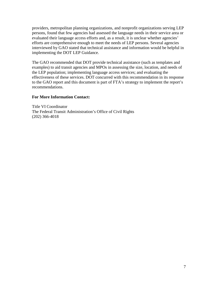providers, metropolitan planning organizations, and nonprofit organizations serving LEP persons, found that few agencies had assessed the language needs in their service area or evaluated their language access efforts and, as a result, it is unclear whether agencies' efforts are comprehensive enough to meet the needs of LEP persons. Several agencies interviewed by GAO stated that technical assistance and information would be helpful in implementing the DOT LEP Guidance.

The GAO recommended that DOT provide technical assistance (such as templates and examples) to aid transit agencies and MPOs in assessing the size, location, and needs of the LEP population; implementing language access services; and evaluating the effectiveness of these services. DOT concurred with this recommendation in its response to the GAO report and this document is part of FTA's strategy to implement the report's recommendations.

## **For More Information Contact:**

Title VI Coordinator The Federal Transit Administration's Office of Civil Rights (202) 366-4018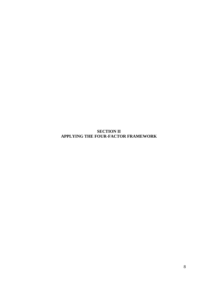**SECTION II APPLYING THE FOUR-FACTOR FRAMEWORK**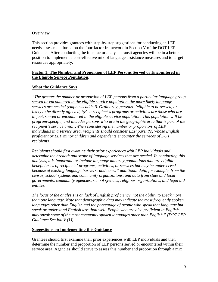# **Overview**

This section provides grantees with step-by-step suggestions for conducting an LEP needs assessment based on the four-factor framework in Section V of the DOT LEP Guidance. After conducting the four-factor analysis transit agencies will be in a better position to implement a cost-effective mix of language assistance measures and to target resources appropriately.

# **Factor 1: The Number and Proportion of LEP Persons Served or Encountered in the Eligible Service Population.**

# **What the Guidance Says**

*"The greater the number or proportion of LEP persons from a particular language group served or encountered in the eligible service population, the more likely language services are needed (emphasis added). Ordinarily, persons ``eligible to be served, or likely to be directly affected, by'' a recipient's programs or activities are those who are in fact, served or encountered in the eligible service population. This population will be program-specific, and includes persons who are in the geographic area that is part of the recipient's service area…When considering the number or proportion of LEP individuals in a service area, recipients should consider LEP parent(s) whose English proficient or LEP minor children and dependents encounter the services of DOT recipients.*

*Recipients should first examine their prior experiences with LEP individuals and determine the breadth and scope of language services that are needed. In conducting this analysis, it is important to: Include language minority populations that are eligible beneficiaries of recipients' programs, activities, or services but may be underserved because of existing language barriers; and consult additional data, for example, from the census, school systems and community organizations, and data from state and local governments, community agencies, school systems, religious organizations, and legal aid entities.*

*The focus of the analysis is on lack of English proficiency, not the ability to speak more than one language. Note that demographic data may indicate the most frequently spoken languages other than English and the percentage of people who speak that language but speak or understand English less than well. People who are also proficient in English may speak some of the most commonly spoken languages other than English." (DOT LEP Guidance Section V (1)).*

#### **Suggestions on Implementing this Guidance**

Grantees should first examine their prior experiences with LEP individuals and then determine the number and proportion of LEP persons served or encountered within their service area. Agencies should strive to assess this number and proportion through a mix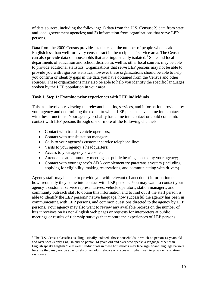of data sources, including the following: 1) data from the U.S. Census; 2) data from state and local government agencies; and 3) information from organizations that serve LEP persons.

Data from the 2000 Census provides statistics on the number of people who speak English less than well for every census tract in the recipients' service area. The Census can also provide data on households that are linguistically isolated.<sup>[1](#page-9-0)</sup> State and local departments of education and school districts as well as other local sources may be able to provide additional statistics. Organizations that serve LEP persons may not be able to provide you with rigorous statistics, however these organizations should be able to help you confirm or identify gaps in the data you have obtained from the Census and other sources. These organizations may also be able to help you identify the specific languages spoken by the LEP population in your area.

# **Task 1, Step 1: Examine prior experiences with LEP individuals**

This task involves reviewing the relevant benefits, services, and information provided by your agency and determining the extent to which LEP persons have come into contact with these functions. Your agency probably has come into contact or could come into contact with LEP persons through one or more of the following channels:

- Contact with transit vehicle operators;
- Contact with transit station managers;
- Calls to your agency's customer service telephone line;
- Visits to your agency's headquarters;
- Access to your agency's website ;
- Attendance at community meetings or public hearings hosted by your agency;
- Contact with your agency's ADA complementary paratransit system (including applying for eligibility, making reservations, and communicating with drivers).

Agency staff may be able to provide you with relevant (if anecdotal) information on how frequently they come into contact with LEP persons. You may want to contact your agency's customer service representatives, vehicle operators, station managers, and community outreach staff to obtain this information and to find out if the staff person is able to identify the LEP persons' native language, how successful the agency has been in communicating with LEP persons, and common questions directed to the agency by LEP persons. Your agency may also want to review any available records on the number of hits it receives on its non-English web pages or requests for interpreters at public meetings or results of ridership surveys that capture the experiences of LEP persons.

<span id="page-9-0"></span><sup>&</sup>lt;sup>1</sup> The U.S. Census classifies as "linguistically isolated" those households in which no person 14 years old and over speaks only English and no person 14 years old and over who speaks a language other than English speaks English "very well." Individuals in these households may face significant language barriers because they may not be able to rely on an adult relative who speaks English well to provide translation assistance.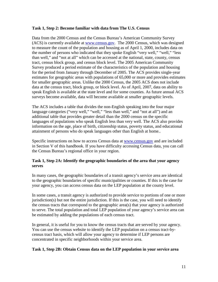#### **Task 1, Step 2: Become familiar with data from The U.S. Census**

Data from the 2000 Census and the Census Bureau's American Community Survey (ACS) is currently available at [www.census.gov.](http://www.census.gov/) The 2000 Census, which was designed to measure the count of the population and housing as of April 1, 2000, includes data on the number of persons who indicated that they spoke English "very well," "well," "less than well," and "not at all" which can be accessed at the national, state, county, census tract, census block group, and census block level. The 2005 American Community Survey produced a period estimate of the characteristics of the population and housing for the period from January through December of 2005. The ACS provides single-year estimates for geographic areas with populations of 65,000 or more and provides estimates for smaller geographic areas. Unlike the 2000 Census, the 2005 ACS does not include data at the census tract, block group, or block level. As of April, 2007, data on ability to speak English is available at the state level and for some counties. As future annual ACS surveys become available, data will become available at smaller geographic levels.

The ACS includes a table that divides the non-English speaking into the four major language categories ("very well," "well," "less than well," and "not at all") and an additional table that provides greater detail than the 2000 census on the specific languages of populations who speak English less than very well. The ACS also provides information on the age, place of birth, citizenship status, poverty status, and educational attainment of persons who do speak languages other than English at home..

Specific instructions on how to access Census data at [www.census.gov](http://www.census.gov/) and are included in Section V of this handbook. If you have difficulty accessing Census data, you can call the Census Bureau's regional office in your region.

## **Task 1, Step 2A: Identify the geographic boundaries of the area that your agency serves**

In many cases, the geographic boundaries of a transit agency's service area are identical to the geographic boundaries of specific municipalities or counties. If this is the case for your agency, you can access census data on the LEP population at the county level.

In some cases, a transit agency is authorized to provide service to portions of one or more jurisdiction(s) but not the entire jurisdiction. If this is the case, you will need to identify the census tracts that correspond to the geographic area(s) that your agency is authorized to serve. The total population and total LEP population of your agency's service area can be estimated by adding the populations of each census tract.

In general, it is useful for you to know the census tracts that are served by your agency. You can use the census website to identify the LEP population on a census tract-bycensus tract basis, which will allow your agency to determine if LEP persons are concentrated in specific neighborhoods within your service area.

#### **Task 1, Step 2B: Obtain Census data on the LEP population in your service area**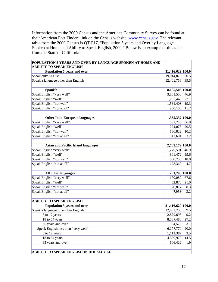Information from the 2000 Census and the American Community Survey can be found at the "American Fact Finder" link on the Census website, [www.census.gov.](http://www.census.gov/) The relevant table from the 2000 Census is QT-P17, "Population 5 years and Over by Language Spoken at Home and Ability to Speak English, 2000." Below is an example of this table from the State of California:

| POPULATION 5 YEARS AND OVER BY LANGUAGE SPOKEN AT HOME AND<br><b>ABILITY TO SPEAK ENGLISH</b> |                  |      |
|-----------------------------------------------------------------------------------------------|------------------|------|
| Population 5 years and over                                                                   | 31,416,629 100.0 |      |
| Speak only English                                                                            | 19,014,873       | 60.5 |
| Speak a language other than English                                                           | 12,401,756       | 39.5 |
|                                                                                               |                  |      |
| Spanish                                                                                       | 8,105,505 100.0  |      |
| Speak English "very well"                                                                     | 3,801,556        | 46.9 |
| Speak English "well"                                                                          | 1,792,446        | 22.1 |
| Speak English "not well"                                                                      | 1,561,403        | 19.3 |
| Speak English "not at all"                                                                    | 950,100          | 11.7 |
|                                                                                               |                  |      |
| <b>Other Indo-European languages</b>                                                          | 1,335,332 100.0  |      |
| Speak English "very well"                                                                     | 881,743          | 66.0 |
| Speak English "well"                                                                          | 274,073          | 20.5 |
| Speak English "not well"                                                                      | 136,822          | 10.2 |
| Speak English "not at all"                                                                    | 42,694           | 3.2  |
|                                                                                               |                  |      |
| <b>Asian and Pacific Island languages</b>                                                     | 2,709,179 100.0  |      |
| Speak English "very well"                                                                     | 1,270,591        | 46.9 |
| Speak English "well"                                                                          | 801,472          | 29.6 |
| Speak English "not well"                                                                      | 508,756          | 18.8 |
| Speak English "not at all"                                                                    | 128,360          | 4.7  |
|                                                                                               |                  |      |
| All other languages                                                                           | 251,740 100.0    |      |
| Speak English "very well"                                                                     | 170,087          | 67.6 |
| Speak English "well"                                                                          | 52,878           | 21.0 |
| Speak English "not well"                                                                      | 20,817           | 8.3  |
| Speak English "not at all"                                                                    | 7,958            | 3.2  |
|                                                                                               |                  |      |
| <b>ABILITY TO SPEAK ENGLISH</b>                                                               |                  |      |
| Population 5 years and over                                                                   | 31,416,629 100.0 |      |
| Speak a language other than English                                                           | 12,401,756       | 39.5 |
| 5 to 17 years                                                                                 | 2,879,695        | 9.2  |
| 18 to 64 years                                                                                | 8,537,488        | 27.2 |
| 65 years and over                                                                             | 984,573          | 3.1  |
| Speak English less than "very well"                                                           | 6,277,779        | 20.0 |
| 5 to 17 years                                                                                 | 1,111,387        | 3.5  |
| 18 to 64 years                                                                                | 4,559,970        | 14.5 |
| 65 years and over                                                                             | 606,422          | 1.9  |
|                                                                                               |                  |      |
| ABILITY TO SPEAK ENGLISH IN HOUSEHOLD                                                         |                  |      |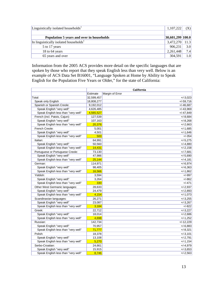| Linguistically isolated households <sup>1</sup><br>1,107,222 |                  |                  |
|--------------------------------------------------------------|------------------|------------------|
|                                                              |                  |                  |
| Population 5 years and over in households                    | 30,601,299 100.0 |                  |
| In linguistically isolated households <sup>1</sup>           | $3,472,270$ 11.3 |                  |
| 5 to 17 years                                                | 906,231          | 3.0              |
| 18 to 64 years                                               | 2,261,448        | 7.4              |
| 65 years and over                                            | 304,591          | 1.0 <sub>l</sub> |

Information from the 2005 ACS provides more detail on the specific languages that are spoken by those who report that they speak English less than very well. Below is an example of ACS Data Set B16001, "Language Spoken at Home by Ability to Speak English for the Population Five Years or Older," for the state of California:

|                                     |            | <b>California</b> |
|-------------------------------------|------------|-------------------|
|                                     | Estimate   | Margin of Error   |
| Total:                              | 32,599,457 | $+/-3,023$        |
| Speak only English                  | 18,808,277 | $+/-59,716$       |
| Spanish or Spanish Creole:          | 9,192,012  | $+/-46,687$       |
| Speak English "very well"           | 4,626,485  | $+/-43,969$       |
| Speak English less than "very well" | 4,565,527  | $+/-47,849$       |
| French (incl. Patois, Cajun):       | 127,539    | $+/-8.684$        |
| Speak English "very well"           | 107,163    | $+/-8.268$        |
| Speak English less than "very well" | 20,376     | $+/-2.663$        |
| French Creole:                      | 5,001      | $+/-1,685$        |
| Speak English "very well"           | 4,501      | $+/-1.646$        |
| Speak English less than "very well" | 500        | $+/-354$          |
| Italian:                            | 64,991     | $+/-5,275$        |
| Speak English "very well"           | 50,560     | $+/-4,880$        |
| Speak English less than "very well" | 14,431     | $+/-2,158$        |
| Portuguese or Portuguese Creole:    | 73,130     | $+/-7,681$        |
| Speak English "very well"           | 47,986     | $+/-5,690$        |
| Speak English less than "very well" | 25,144     | $+/-4,181$        |
| German:                             | 114,971    | $+/-6,974$        |
| Speak English "very well"           | 98,405     | $+/-6,363$        |
| Speak English less than "very well" | 16,566     | $+/-1,862$        |
| Yiddish:                            | 3,594      | $+/-997$          |
| Speak English "very well"           | 3,264      | $+/-862$          |
| Speak English less than "very well" | 330        | $+/-471$          |
| Other West Germanic languages:      | 28,633     | $+/-2,937$        |
| Speak English "very well"           | 24.479     | $+/-2.893$        |
| Speak English less than "very well" | 4,154      | $+/-1,073$        |
| Scandinavian languages:             | 26,271     | $+/-3,255$        |
| Speak English "very well"           | 23,087     | $+/-3,267$        |
| Speak English less than "very well" | 3,184      | $+/-822$          |
| Greek:                              | 22,712     | $+/-3,227$        |
| Speak English "very well"           | 18,014     | $+/-2.686$        |
| Speak English less than "very well" | 4,698      | $+/-1,252$        |
| Russian:                            | 142.734    | $+/-12.229$       |
| Speak English "very well"           | 70,957     | $+/-6.883$        |
| Speak English less than "very well" | 71,777     | $+/-8,321$        |
| Polish:                             | 18,378     | $+/-3,101$        |
| Speak English "very well"           | 13,108     | $+/-2,791$        |
| Speak English less than "very well" | 5,270      | $+/-1,154$        |
| Serbo-Croatian:                     | 24,661     | $+/-4,979$        |
| Speak English "very well"           | 15,915     | $+/-3,653$        |
| Speak English less than "very well" | 8,746      | $+/-2,563$        |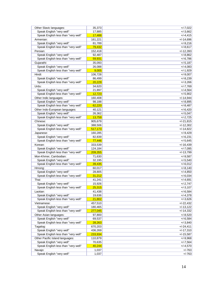| Other Slavic languages:             | 35,373           | $+/-7,022$  |
|-------------------------------------|------------------|-------------|
| Speak English "very well"           | 17,885           | $+/-3.662$  |
| Speak English less than "very well" | 17,488           | $+/-4,415$  |
| Armenian:                           | 161,221          | $+/-14,696$ |
| Speak English "very well"           | 81,789           | $+/-9,216$  |
| Speak English less than "very well" | 79,432           | $+/-8,617$  |
| Persian:                            | 152,418          | $+/-12,393$ |
| Speak English "very well"           | 92,487           | $+/-8,862$  |
| Speak English less than "very well" | 59,931           | $+/-6,786$  |
| Gujarathi:                          | 35,093           | $+/-5,187$  |
| Speak English "very well"           | 26,088           | $+/-4,083$  |
| Speak English less than "very well" | 9,005            | $+/-1,929$  |
| Hindi:                              | 106,728          | $+/-9,007$  |
| Speak English "very well"           | 86,499           | $+/-8,239$  |
| Speak English less than "very well" | 20,229           | $+/-3,266$  |
| Urdu:                               | 34,620           | $+/-7,769$  |
| Speak English "very well"           | 21,897           | $+/-4,564$  |
| Speak English less than "very well" | 12,723           | $+/-5,902$  |
|                                     |                  |             |
| Other Indic languages:              | 160,408          | $+/-14,944$ |
| Speak English "very well"           | 98,188           | $+/-8,895$  |
| Speak English less than "very well" | 62,220           | $+/-8,487$  |
| Other Indo-European languages:      | 40,121           | $+/-6.420$  |
| Speak English "very well"           | 26,362           | $+/-5,047$  |
| Speak English less than "very well" | 13,759           | $+/-2,725$  |
| Chinese:                            | 905,679          | $+/-21,815$ |
| Speak English "very well"           | 388,506          | $+/-12,302$ |
| Speak English less than "very well" | 517,173          | $+/-14,822$ |
| Japanese:                           | 160,285          | $+/-9,429$  |
| Speak English "very well"           | 82,839           | $+/-6,231$  |
| Speak English less than "very well" | 77,446           | $+/-5,645$  |
| Korean:                             | 333,539          | $+/-16,439$ |
| Speak English "very well"           | 124,184          | $+/-7,095$  |
| Speak English less than "very well" | 209,355          | $+/-13,799$ |
| Mon-Khmer, Cambodian:               | 71,630           | $+/-9,587$  |
| Speak English "very well"           | 32,195           | $+/-5,540$  |
| Speak English less than "very well" | 39,435           | $+/-6,012$  |
| Hmong:                              | 60,017           | $+/-8,140$  |
| Speak English "very well"           | 28,805           | $+/-4,850$  |
| Speak English less than "very well" | 31,212           | $+/-6,034$  |
| Thai:                               | 41,241           | $+/-4,691$  |
| Speak English "very well"           | 15,926           | $+/-2.747$  |
| Speak English less than "very well" | 25,315           | $+/-3,107$  |
| Laotian:                            | 41,438           | $+/-6,584$  |
| Speak English "very well"           | 19,636           | $+/-4,378$  |
| Speak English less than "very well" | 21,802           | $+/-3,626$  |
| Vietnamese:                         | 457,510          | $+/-22,432$ |
| Speak English "very well"           | 180,465          | $+/-13,122$ |
| Speak English less than "very well" | 277,045          | $+/-14,332$ |
| Other Asian languages:              | 97,800           | $+/-8,520$  |
| Speak English "very well"           | 69,537           | $+/-6,584$  |
| Speak English less than "very well" | 28,263           | $+/-3,840$  |
| Tagalog:                            | 670,203          | $+/-24,411$ |
| Speak English "very well"           | 436,269          | $+/-17,310$ |
| Speak English less than "very well" | 233,934          | $+/-15,587$ |
| Other Pacific Island languages:     | 110,879          | $+/-9,968$  |
| Speak English "very well"           |                  |             |
| Speak English less than "very well" | 70,635<br>40,244 | $+/-7,564$  |
|                                     |                  | $+/-4,570$  |
| Navajo:                             | 1,037            | $+/-763$    |
| Speak English "very well"           | 1,037            | $+/-763$    |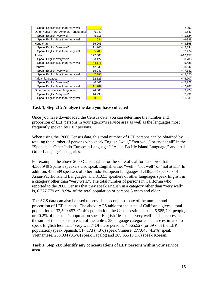| Speak English less than "very well"    | $\overline{0}$ | $+/-293$    |
|----------------------------------------|----------------|-------------|
| Other Native North American languages: | 6,349          | $+/-1,643$  |
| Speak English "very well"              | 5,715          | $+/-1,624$  |
| Speak English less than "very well"    | 634            | $+/-338$    |
| Hungarian:                             | 16,905         | $+/-3,868$  |
| Speak English "very well"              | 11,200         | $+/-2,334$  |
| Speak English less than "very well"    | 5,705          | $+/-2,474$  |
| Arabic:                                | 127,603        | $+/-12,157$ |
| Speak English "very well"              | 83,427         | $+/-8,788$  |
| Speak English less than "very well"    | 44,176         | $+/-5,485$  |
| Hebrew:                                | 42,330         | $+/-8,342$  |
| Speak English "very well"              | 35,049         | $+/-7,332$  |
| Speak English less than "very well"    | 7,281          | $+/-2,520$  |
| African languages:                     | 52,123         | $+/-6,707$  |
| Speak English "very well"              | 40,841         | $+/-5,728$  |
| Speak English less than "very well"    | 11,282         | $+/-2,287$  |
| Other and unspecified languages:       | 24,003         | $+/-3.924$  |
| Speak English "very well"              | 14,993         | $+/-2,991$  |
| Speak English less than "very well"    | 9,010          | $+/-1,931$  |

# **Task 1, Step 2C: Analyze the data you have collected**

Once you have downloaded the Census data, you can determine the number and proportion of LEP persons in your agency's service area as well as the languages most frequently spoken by LEP persons.

When using the 2000 Census data, this total number of LEP persons can be obtained by totaling the number of persons who speak English "well," "not well," or "not at all" in the "Spanish," "Other Indo-European Language," "Asian-Pacific Island Language," and "All Other Language" categories.

For example, the above 2000 Census table for the state of California shows that 4,303,949 Spanish speakers also speak English either "well," "not well" or "not at all." In addition, 453,589 speakers of other Indo-European Languages, 1,438,588 speakers of Asian-Pacific Island Languages, and 81,653 speakers of other languages speak English in a category other than "very well.". The total number of persons in California who reported to the 2000 Census that they speak English in a category other than "very well" is, 6,277,779 or 19.9% of the total population of persons 5 years and older.

The ACS data can also be used to provide a second estimate of the number and proportion of LEP persons. The above ACS table for the state of California gives a total population of 32,599,457. Of this population, the Census estimates that 6,585,792 people, or 20.2% of the state's population speak English "less than 'very well'". This represents the sum of the persons in each of the table's 38 language categories that are estimated to speak English less than "very well." Of these persons, 4,565,527 (or 69% of the LEP population) speak Spanish, 517,173 (7.8%) speak Chinese, 277,045 (4.2%) speak Vietnamese, 233,934 (3.5%) speak Tagalog and 209,355 (3.1%) speak Korean.

# **Task 1, Step 2D: Identify any concentrations of LEP persons within your service area**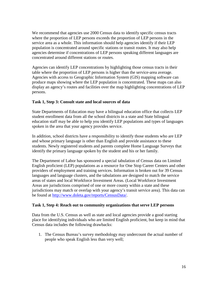We recommend that agencies use 2000 Census data to identify specific census tracts where the proportion of LEP persons exceeds the proportion of LEP persons in the service area as a whole. This information should help agencies identify if their LEP population is concentrated around specific stations or transit routes. It may also help agencies determine if concentrations of LEP persons speaking different languages are concentrated around different stations or routes.

Agencies can identify LEP concentrations by highlighting those census tracts in their table where the proportion of LEP persons is higher than the service-area average. Agencies with access to Geographic Information System (GIS) mapping software can produce maps showing where the LEP population is concentrated. These maps can also display an agency's routes and facilities over the map highlighting concentrations of LEP persons.

## **Task 1, Step 3: Consult state and local sources of data**

State Departments of Education may have a bilingual education office that collects LEP student enrollment data from all the school districts in a state and State bilingual education staff may be able to help you identify LEP populations and types of languages spoken in the area that your agency provides service.

In addition, school districts have a responsibility to identify those students who are LEP and whose primary language is other than English and provide assistance to these students. Newly registered students and parents complete Home Language Surveys that identify the primary language spoken by the student and his or her family.

The Department of Labor has sponsored a special tabulation of Census data on Limited English proficient (LEP) populations as a resource for One Stop Career Centers and other providers of employment and training services. Information is broken out for 39 Census languages and language clusters, and the tabulations are designed to match the service areas of states and local Workforce Investment Areas. (Local Workforce Investment Areas are jurisdictions comprised of one or more county within a state and these jurisdictions may match or overlap with your agency's transit service area). This data can be found at [http://www.doleta.gov/reports/CensusData/.](http://www.doleta.gov/reports/CensusData/)

#### **Task 1, Step 4: Reach out to community organizations that serve LEP persons**

Data from the U.S. Census as well as state and local agencies provide a good starting place for identifying individuals who are limited English proficient, but keep in mind that Census data includes the following drawbacks:

1. The Census Bureau's survey methodology may undercount the actual number of people who speak English less than very well;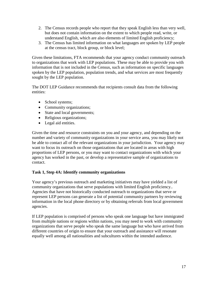- 2. The Census records people who report that they speak English less than very well, but does not contain information on the extent to which people read, write, or understand English, which are also elements of limited English proficiency;
- 3. The Census has limited information on what languages are spoken by LEP people at the census tract, block group, or block level;

Given these limitations, FTA recommends that your agency conduct community outreach to organizations that work with LEP populations. These may be able to provide you with information that is not included in the Census, such as information on specific languages spoken by the LEP population, population trends, and what services are most frequently sought by the LEP population.

The DOT LEP Guidance recommends that recipients consult data from the following entities:

- School systems;
- Community organizations;
- State and local governments;
- Religious organizations;
- Legal aid entities.

Given the time and resource constraints on you and your agency, and depending on the number and variety of community organizations in your service area, you may likely not be able to contact all of the relevant organizations in your jurisdiction. Your agency may want to focus its outreach on those organizations that are located in areas with high proportions of LEP persons, or you may want to contact organizations with which your agency has worked in the past, or develop a representative sample of organizations to contact.

# **Task 1, Step 4A: Identify community organizations**

Your agency's previous outreach and marketing initiatives may have yielded a list of community organizations that serve populations with limited English proficiency.. Agencies that have not historically conducted outreach to organizations that serve or represent LEP persons can generate a list of potential community partners by reviewing information in the local phone directory or by obtaining referrals from local government agencies.

If LEP population is comprised of persons who speak one language but have immigrated from multiple nations or regions within nations, you may need to work with community organizations that serve people who speak the same language but who have arrived from different countries of origin to ensure that your outreach and assistance will resonate equally well among all nationalities and subcultures within the intended audience.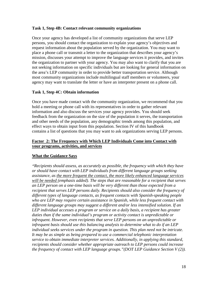#### **Task 1, Step 4B: Contact relevant community organizations**

Once your agency has developed a list of community organizations that serve LEP persons, you should contact the organization to explain your agency's objectives and request information about the population served by the organization. You may want to place a phone call or transmit a letter to the organization that describes your agency's mission, discusses your attempt to improve the language services it provides, and invites the organization to partner with your agency. You may also want to clarify that you are not seeking information on specific individuals but are looking for general information on the area's LEP community in order to provide better transportation service. Although most community organizations include multilingual staff members or volunteers, your agency may want to translate the letter or have an interpreter present on a phone call.

## **Task 1, Step 4C: Obtain information**

Once you have made contact with the community organization, we recommend that you hold a meeting or phone call with its representatives in order to gather relevant information and also discuss the services your agency provides. You should seek feedback from the organization on the size of the population it serves, the transportation and other needs of the population, any demographic trends among this population, and effect ways to obtain input from this population. Section IV of this handbook contains a list of questions that you may want to ask organizations serving LEP persons.

# **Factor 2: The Frequency with Which LEP Individuals Come into Contact with your programs, activities, and services**

# **What the Guidance Says**

*"Recipients should assess, as accurately as possible, the frequency with which they have or should have contact with LEP individuals from different language groups seeking assistance, as the more frequent the contact, the more likely enhanced language services will be needed (emphasis added). The steps that are reasonable for a recipient that serves an LEP person on a one-time basis will be very different than those expected from a recipient that serves LEP persons daily. Recipients should also consider the frequency of different types of language contacts, as frequent contacts with Spanish-speaking people who are LEP may require certain assistance in Spanish, while less frequent contact with different language groups may suggest a different and/or less intensified solution. If an LEP individual accesses a program or service on a daily basis, a recipient has greater duties than if the same individual's program or activity contact is unpredictable or infrequent. However, even recipients that serve LEP persons on an unpredictable or infrequent basis should use this balancing analysis to determine what to do if an LEP individual seeks services under the program in question. This plan need not be intricate. It may be as simple as being prepared to use a commercial telephonic interpretation service to obtain immediate interpreter services. Additionally, in applying this standard, recipients should consider whether appropriate outreach to LEP persons could increase the frequency of contact with LEP language groups."(DOT LEP Guidance Section V (2)).*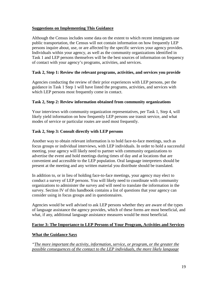# **Suggestions on Implementing This Guidance**

Although the Census includes some data on the extent to which recent immigrants use public transportation, the Census will not contain information on how frequently LEP persons inquire about, use, or are affected by the specific services your agency provides. Individuals within your agency, as well as the community organizations identified in Task 1 and LEP persons themselves will be the best sources of information on frequency of contact with your agency's programs, activities, and services.

# **Task 2, Step 1: Review the relevant programs, activities, and services you provide**

Agencies conducting the review of their prior experiences with LEP persons, per the guidance in Task 1 Step 1 will have listed the programs, activities, and services with which LEP persons most frequently come in contact.

# **Task 2, Step 2: Review information obtained from community organizations**

Your interviews with community organization representatives, per Task 1, Step 4, will likely yield information on how frequently LEP persons use transit service, and what modes of service or particular routes are used most frequently.

# **Task 2, Step 3: Consult directly with LEP persons**

Another way to obtain relevant information is to hold face-to-face meetings, such as focus groups or individual interviews, with LEP individuals. In order to hold a successful meeting, your agency will likely need to partner with community organizations to advertise the event and hold meetings during times of day and at locations that are convenient and accessible to the LEP population. Oral language interpreters should be present at the meeting and any written material you distribute should be translated.

In addition to, or in lieu of holding face-to-face meetings, your agency may elect to conduct a survey of LEP persons. You will likely need to coordinate with community organizations to administer the survey and will need to translate the information in the survey. Section IV of this handbook contains a list of questions that your agency can consider using in focus groups and in questionnaires.

Agencies would be well advised to ask LEP persons whether they are aware of the types of language assistance the agency provides, which of these forms are most beneficial, and what, if any, additional language assistance measures would be most beneficial.

# **Factor 3: The Importance to LEP Persons of Your Program, Activities and Services**

# **What the Guidance Says**

*"The more important the activity, information, service, or program, or the greater the possible consequences of the contact to the LEP individuals, the more likely language*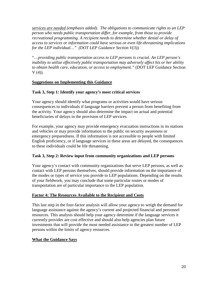*services are needed (emphasis added). The obligations to communicate rights to an LEP person who needs public transportation differ, for example, from those to provide recreational programming. A recipient needs to determine whether denial or delay of access to services or information could have serious or even life-threatening implications for the LEP individual…" (DOT LEP Guidance Section V(3)).*

"…*providing public transportation access to LEP persons is crucial. An LEP person's inability to utilize effectively public transportation may adversely affect his or her ability to obtain health care, education, or access to employment."* (DOT LEP Guidance Section  $V(4)$ ).

# **Suggestions on Implementing this Guidance**

# **Task 3, Step 1: Identify your agency's most critical services**

Your agency should identify what programs or activities would have serious consequences to individuals if language barriers prevent a person from benefiting from the activity. Your agency should also determine the impact on actual and potential beneficiaries of delays in the provision of LEP services.

For example, your agency may provide emergency evacuation instructions in its stations and vehicles or may provide information to the public on security awareness or emergency preparedness. If this information is not accessible to people with limited English proficiency, or if language services in these areas are delayed, the consequences to these individuals could be life threatening.

# **Task 3, Step 2: Review input from community organizations and LEP persons**

Your agency's contact with community organizations that serve LEP persons, as well as contact with LEP persons themselves, should provide information on the importance of the modes or types of service you provide to LEP populations. Depending on the results of your fieldwork, you may conclude that some particular routes or modes of transportation are of particular importance to the LEP population.

# **Factor 4: The Resources Available to the Recipient and Costs**

This last step in the four-factor analysis will allow your agency to weigh the demand for language assistance against the agency's current and projected financial and personnel resources. This analysis should help your agency determine if the language services it currently provides are cost effective and should also help agencies plan future investments that will provide the most needed assistance to the greatest number of LEP persons within the limits of agency resources.

# **What the Guidance Says**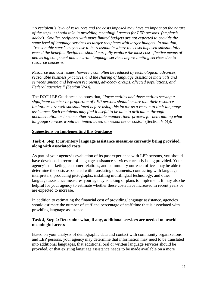*"A recipient's level of resources and the costs imposed may have an impact on the nature of the steps it should take in providing meaningful access for LEP persons. (emphasis added). Smaller recipients with more limited budgets are not expected to provide the same level of language services as larger recipients with larger budgets. In addition, ``reasonable steps'' may cease to be reasonable where the costs imposed substantially exceed the benefits. Recipients should carefully explore the most cost-effective means of delivering competent and accurate language services before limiting services due to resource concerns.*

*Resource and cost issues, however, can often be reduced by technological advances, reasonable business practices, and the sharing of language assistance materials and services among and between recipients, advocacy groups, affected populations, and Federal agencies." (Section V(4)).*

The DOT LEP Guidance also notes that, *"large entities and those entities serving a significant number or proportion of LEP persons should ensure that their resource limitations are well substantiated before using this factor as a reason to limit language assistance. Such recipients may find it useful to be able to articulate, through documentation or in some other reasonable manner, their process for determining what language services would be limited based on resources or costs."* (Section V (4)).

## **Suggestions on Implementing this Guidance**

## **Task 4, Step 1: Inventory language assistance measures currently being provided, along with associated costs.**

As part of your agency's evaluation of its past experience with LEP persons, you should have developed a record of language assistance services currently being provided. Your agency's marketing, customer relations, and community outreach offices may be able to determine the costs associated with translating documents, contracting with language interpreters, producing pictographs, installing multilingual technology, and other language assistance measures your agency is taking or plans to implement. It may also be helpful for your agency to estimate whether these costs have increased in recent years or are expected to increase.

In addition to estimating the financial cost of providing language assistance, agencies should estimate the number of staff and percentage of staff time that is associated with providing language assistance.

# **Task 4, Step 2: Determine what, if any, additional services are needed to provide meaningful access**

Based on your analysis of demographic data and contact with community organizations and LEP persons, your agency may determine that information may need to be translated into additional languages, that additional oral or written language services should be provided, or that existing language assistance needs to be made available on a more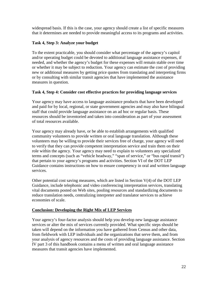widespread basis. If this is the case, your agency should create a list of specific measures that it determines are needed to provide meaningful access to its programs and activities.

# **Task 4, Step 3: Analyze your budget**

To the extent practicable, you should consider what percentage of the agency's capitol and/or operating budget could be devoted to additional language assistance expenses, if needed, and whether the agency's budget for these expenses will remain stable over time or whether it may be subject to reduction. Your agency can estimate the cost of providing new or additional measures by getting price quotes from translating and interpreting firms or by consulting with similar transit agencies that have implemented the assistance measures in question.

# **Task 4, Step 4: Consider cost effective practices for providing language services**

Your agency may have access to language assistance products that have been developed and paid for by local, regional, or state government agencies and may also have bilingual staff that could provide language assistance on an ad hoc or regular basis. These resources should be inventoried and taken into consideration as part of your assessment of total resources available.

Your agency may already have, or be able to establish arrangements with qualified community volunteers to provide written or oral language translation. Although these volunteers may be willing to provide their services free of charge, your agency will need to verify that they can provide competent interpretation service and train them on their role within the agency. Your agency may need to explain to volunteers any specialized terms and concepts (such as "vehicle headway," "span of service," or "bus rapid transit") that pertain to your agency's programs and activities. Section VI of the DOT LEP Guidance contains instructions on how to ensure competency in oral and written language services.

Other potential cost saving measures, which are listed in Section V(4) of the DOT LEP Guidance, include telephonic and video conferencing interpretation services, translating vital documents posted on Web sites, pooling resources and standardizing documents to reduce translation needs, centralizing interpreter and translator services to achieve economies of scale.

# **Conclusion: Developing the Right Mix of LEP Services**

Your agency's four-factor analysis should help you develop new language assistance services or alter the mix of services currently provided. What specific steps should be taken will depend on the information you have gathered from Census and other data, from fieldwork with LEP individuals and the organizations that serve them, and from your analysis of agency resources and the costs of providing language assistance. Section IV part 3 of this handbook contains a menu of written and oral language assistance measures that transit agencies have implemented.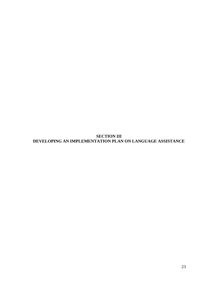**SECTION III DEVELOPING AN IMPLEMENTATION PLAN ON LANGUAGE ASSISTANCE**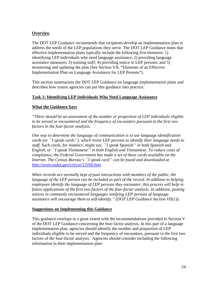# **Overview**

The DOT LEP Guidance recommends that recipients develop an implementation plan to address the needs of the LEP populations they serve. The DOT LEP Guidance notes that effective implementation plans typically include the following five elements: 1) identifying LEP individuals who need language assistance; 2) providing language assistance measures; 3) training staff; 4) providing notice to LEP persons; and 5) monitoring and updating the plan (See Section VII, "Elements of an Effective Implementation Plan on Language Assistance for LEP Persons").

This section summarizes the DOT LEP Guidance on language implementation plans and describes how transit agencies can put this guidance into practice.

# **Task 1: Identifying LEP Individuals Who Need Language Assistance**

# **What the Guidance Says**

*"There should be an assessment of the number or proportion of LEP individuals eligible to be served or encountered and the frequency of encounters pursuant to the first two factors in the four-factor analysis.*

*One way to determine the language of communication is to use language identification cards (or ``I speak cards''), which invite LEP persons to identify their language needs to staff. Such cards, for instance, might say, ``I speak Spanish'' in both Spanish and English, or ``I speak Vietnamese'' in both English and Vietnamese. To reduce costs of compliance, the Federal Government has made a set of these cards available on the Internet. The Census Bureau's ``I speak card'' can be found and downloaded at [http://www.usdoj.gov/crt/cor/13166.htm.](http://frwebgate.access.gpo.gov/cgi-bin/leaving.cgi?from=leavingFR.html&log=linklog&to=http://www.usdoj.gov/crt/cor/13166.htm)*

*When records are normally kept of past interactions with members of the public, the language of the LEP person can be included as part of the record. In addition to helping employees identify the language of LEP persons they encounter, this process will help in future applications of the first two factors of the four-factor analysis. In addition, posting notices in commonly encountered languages notifying LEP persons of language assistance will encourage them to self-identify." (DOT LEP Guidance Section VII(1)).* 

#### **Suggestions on Implementing this Guidance**

This guidance overlaps to a great extent with the recommendations provided in Section V of the DOT LEP Guidance concerning the four-factor analysis. In this part of a language implementation plan, agencies should identify the number and proportion of LEP individuals eligible to be served and the frequency of encounters, pursuant to the first two factors of the four-factor analysis. Agencies should consider including the following information in their implementation plan: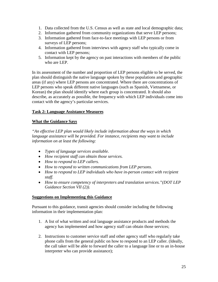- 1. Data collected from the U.S. Census as well as state and local demographic data;
- 2. Information gathered from community organizations that serve LEP persons;
- 3. Information gathered from face-to-face meetings with LEP persons or from surveys of LEP persons;
- 4. Information gathered from interviews with agency staff who typically come in contact with LEP persons;
- 5. Information kept by the agency on past interactions with members of the public who are LEP.

In its assessment of the number and proportion of LEP persons eligible to be served, the plan should distinguish the native language spoken by these populations and geographic areas (if any) where LEP persons are concentrated. Where there are concentrations of LEP persons who speak different native languages (such as Spanish, Vietnamese, or Korean) the plan should identify where each group is concentrated. It should also describe, as accurately as possible, the frequency with which LEP individuals come into contact with the agency's particular services.

# **Task 2: Language Assistance Measures**

# **What the Guidance Says**

*"An effective LEP plan would likely include information about the ways in which language assistance will be provided. For instance, recipients may want to include information on at least the following:*

- *Types of language services available.*
- *How recipient staff can obtain those services.*
- *How to respond to LEP callers.*
- *How to respond to written communications from LEP persons.*
- *How to respond to LEP individuals who have in-person contact with recipient staff.*
- *How to ensure competency of interpreters and translation services."(DOT LEP Guidance Section VII (2)).*

# **Suggestions on Implementing this Guidance**

Pursuant to this guidance, transit agencies should consider including the following information in their implementation plan:

- 1. A list of what written and oral language assistance products and methods the agency has implemented and how agency staff can obtain those services;
- 2. Instructions to customer service staff and other agency staff who regularly take phone calls from the general public on how to respond to an LEP caller. (Ideally, the call taker will be able to forward the caller to a language line or to an in-house interpreter who can provide assistance);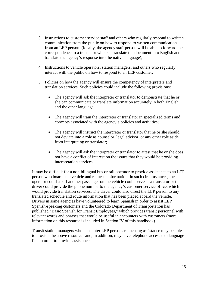- 3. Instructions to customer service staff and others who regularly respond to written communication from the public on how to respond to written communication from an LEP person. (Ideally, the agency staff person will be able to forward the correspondence to a translator who can translate the document into English and translate the agency's response into the native language);
- 4. Instructions to vehicle operators, station managers, and others who regularly interact with the public on how to respond to an LEP customer;
- 5. Policies on how the agency will ensure the competency of interpreters and translation services. Such policies could include the following provisions:
	- The agency will ask the interpreter or translator to demonstrate that he or she can communicate or translate information accurately in both English and the other language;
	- The agency will train the interpreter or translator in specialized terms and concepts associated with the agency's policies and activities;
	- The agency will instruct the interpreter or translator that he or she should not deviate into a role as counselor, legal advisor, or any other role aside from interpreting or translator;
	- The agency will ask the interpreter or translator to attest that he or she does not have a conflict of interest on the issues that they would be providing interpretation services.

It may be difficult for a non-bilingual bus or rail operator to provide assistance to an LEP person who boards the vehicle and requests information. In such circumstances, the operator could ask if another passenger on the vehicle could serve as a translator or the driver could provide the phone number to the agency's customer service office, which would provide translation services. The driver could also direct the LEP person to any translated schedule and route information that has been placed aboard the vehicle. Drivers in some agencies have volunteered to learn Spanish in order to assist LEP Spanish-speaking customers and the Colorado Department of Transportation has published "Basic Spanish for Transit Employees," which provides transit personnel with relevant words and phrases that would be useful in encounters with customers (more information on this resource is included in Section IV of this handbook).

Transit station managers who encounter LEP persons requesting assistance may be able to provide the above resources and, in addition, may have telephone access to a language line in order to provide assistance.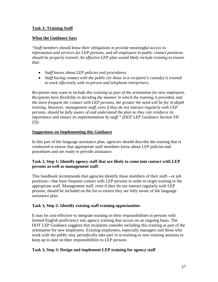# **Task 3: Training Staff**

# **What the Guidance Says**

"*Staff members should know their obligations to provide meaningful access to information and services for LEP persons, and all employees in public contact positions should be properly trained. An effective LEP plan would likely include training to ensure that:*

- *Staff knows about LEP policies and procedures.*
- *Staff having contact with the public (or those in a recipient's custody) is trained to work effectively with in-person and telephone interpreters.*

*Recipients may want to include this training as part of the orientation for new employees. Recipients have flexibility in deciding the manner in which the training is provided, and the more frequent the contact with LEP persons, the greater the need will be for in-depth training. However, management staff, even if they do not interact regularly with LEP persons, should be fully aware of and understand the plan so they can reinforce its importance and ensure its implementation by staff." (DOT LEP Guidance Section VII (3)).* 

# **Suggestions on Implementing this Guidance**

In this part of the language assistance plan, agencies should describe the training that is conducted to ensure that appropriate staff members know about LEP policies and procedures and are ready to provide assistance.

# **Task 3, Step 1: Identify agency staff that are likely to come into contact with LEP persons as well as management staff.**

This handbook recommends that agencies identify those members of their staff—or job positions—that have frequent contact with LEP persons in order to target training to the appropriate staff. Management staff, even if they do not interact regularly with LEP persons, should be included on the list to ensure they are fully aware of the language assistance plan.

# **Task 3, Step 2: Identify existing staff training opportunities**

It may be cost-effective to integrate training on their responsibilities to persons with limited English proficiency into agency training that occurs on an ongoing basis. The DOT LEP Guidance suggests that recipients consider including this training as part of the orientation for new employees. Existing employees, especially managers and those who work with the public may periodically take part in re-training or new training sessions to keep up to date on their responsibilities to LEP persons.

# **Task 3, Step 3: Design and implement LEP training for agency staff**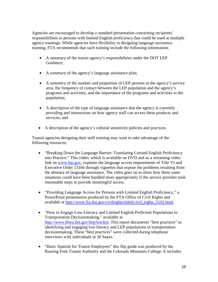Agencies are encouraged to develop a standard presentation concerning recipients' responsibilities to persons with limited English proficiency that could be used at multiple agency trainings. While agencies have flexibility in designing language assistance training, FTA recommends that such training include the following information:

- A summary of the transit agency's responsibilities under the DOT LEP Guidance;
- A summary of the agency's language assistance plan;
- A summery of the number and proportion of LEP persons in the agency's service area, the frequency of contact between the LEP population and the agency's programs and activities, and the importance of the programs and activities to the population;
- A description of the type of language assistance that the agency is currently providing and instructions on how agency staff can access these products and services; and
- A description of the agency's cultural sensitivity policies and practices.

Transit agencies designing their staff training may want to take advantage of the following resources:

- "Breaking Down the Language Barrier: Translating Limited English Proficiency into Practice." This video, which is available on DVD and as a streaming video link on [www.lep.gov,](http://www.lep.gov/) explains the language access requirements of Title VI and Executive Order 13166 through vignettes that expose the problems resulting from the absence of language assistance. The video goes on to show how these same situations could have been handled more appropriately if the service provider took reasonable steps to provide meaningful access.
- "Providing Language Access for Persons with Limited English Proficiency," a PowerPoint presentation produced by the FTA Office of Civil Rights and available at [http://www.fta.dot.gov/civilrights/title6/civil\\_rights\\_5102.html.](http://www.fta.dot.gov/civilrights/title6/civil_rights_5102.html)
- "How to Engage Low-Literacy and Limited English Proficient Populations in Transportation Decisionmaking," available at [http://www.fhwa.dot.gov/hep/lowlim.](http://www.fhwa.dot.gov/hep/lowlim) This report documents "best practices" in identifying and engaging low-literacy and LEP populations in transportation decisionmaking. These "best practices" were collected during telephone interviews with individuals in 30 States.
- "Basic Spanish for Transit Employees" this flip guide was produced by the Roaring Fork Transit Authority and the Colorado Mountain College. It includes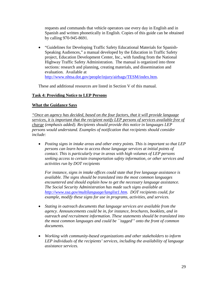requests and commands that vehicle operators use every day in English and in Spanish and written phonetically in English. Copies of this guide can be obtained by calling 970-945-8691.

• "Guidelines for Developing Traffic Safety Educational Materials for Spanish-Speaking Audiences," a manual developed by the Education in Traffic Safety project, Education Development Center, Inc., with funding from the National Highway Traffic Safety Administration. The manual is organized into three sections: research and planning, creating materials, and dissemination and evaluation. Available at [http://www.nhtsa.dot.gov/people/injury/airbags/TESM/index.htm.](http://www.nhtsa.dot.gov/people/injury/airbags/TESM/index.htm)

These and additional resources are listed in Section V of this manual.

# **Task 4: Providing Notice to LEP Persons**

# **What the Guidance Says**

*"Once an agency has decided, based on the four factors, that it will provide language services, it is important that the recipient notify LEP persons of services available free of charge (emphasis added). Recipients should provide this notice in languages LEP persons would understand. Examples of notification that recipients should consider include:*

• *Posting signs in intake areas and other entry points. This is important so that LEP persons can learn how to access those language services at initial points of contact. This is particularly true in areas with high volumes of LEP persons seeking access to certain transportation safety information, or other services and activities run by DOT recipients*

*For instance, signs in intake offices could state that free language assistance is available. The signs should be translated into the most common languages encountered and should explain how to get the necessary language assistance. The Social Security Administration has made such signs available at [http://www.ssa.gov/multilanguage/langlist1.htm.](http://frwebgate.access.gpo.gov/cgi-bin/leaving.cgi?from=leavingFR.html&log=linklog&to=http://www.ssa.gov/multilanguage/langlist1.htm) DOT recipients could, for example, modify these signs for use in programs, activities, and services.*

- *Stating in outreach documents that language services are available from the agency. Announcements could be in, for instance, brochures, booklets, and in outreach and recruitment information. These statements should be translated into the most common languages and could be ``tagged'' onto the front of common documents.*
- *Working with community-based organizations and other stakeholders to inform LEP individuals of the recipients' services, including the availability of language assistance services.*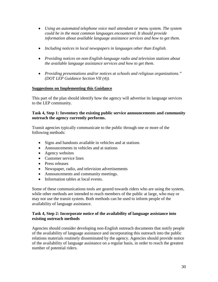- *Using an automated telephone voice mail attendant or menu system. The system could be in the most common languages encountered. It should provide information about available language assistance services and how to get them.*
- *Including notices in local newspapers in languages other than English.*
- *Providing notices on non-English-language radio and television stations about the available language assistance services and how to get them.*
- *Providing presentations and/or notices at schools and religious organizations." (DOT LEP Guidance Section VII (4)).*

# **Suggestions on Implementing this Guidance**

This part of the plan should identify how the agency will advertise its language services to the LEP community.

## **Task 4, Step 1: Inventory the existing public service announcements and community outreach the agency currently performs.**

Transit agencies typically communicate to the public through one or more of the following methods:

- Signs and handouts available in vehicles and at stations
- Announcements in vehicles and at stations
- Agency websites
- Customer service lines
- Press releases
- Newspaper, radio, and television advertisements
- Announcements and community meetings.
- Information tables at local events.

Some of these communications tools are geared towards riders who are using the system, while other methods are intended to reach members of the public at large, who may or may not use the transit system. Both methods can be used to inform people of the availability of language assistance.

# **Task 4, Step 2: Incorporate notice of the availability of language assistance into existing outreach methods**

Agencies should consider developing non-English outreach documents that notify people of the availability of language assistance and incorporating this outreach into the public relations materials routinely disseminated by the agency. Agencies should provide notice of the availability of language assistance on a regular basis, in order to reach the greatest number of potential riders.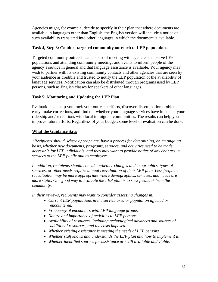Agencies might, for example, decide to specify in their plan that where documents are available in languages other than English, the English version will include a notice of such availability translated into other languages in which the document is available.

# **Task 4, Step 3: Conduct targeted community outreach to LEP populations.**

Targeted community outreach can consist of meeting with agencies that serve LEP populations and attending community meetings and events to inform people of the agency's service in general and that language assistance is available. Your agency may wish to partner with its existing community contacts and other agencies that are seen by your audience as credible and trusted to notify the LEP population of the availability of language services. Notification can also be distributed through programs used by LEP persons, such as English classes for speakers of other languages.

# **Task 5: Monitoring and Updating the LEP Plan**

Evaluation can help you track your outreach efforts, discover dissemination problems early, make corrections, and find out whether your language services have impacted your ridership and/or relations with local immigrant communities. The results can help you improve future efforts. Regardless of your budget, some level of evaluation can be done.

# **What the Guidance Says**

*"Recipients should, where appropriate, have a process for determining, on an ongoing basis, whether new documents, programs, services, and activities need to be made accessible for LEP individuals, and they may want to provide notice of any changes in services to the LEP public and to employees.*

*In addition, recipients should consider whether changes in demographics, types of services, or other needs require annual reevaluation of their LEP plan. Less frequent reevaluation may be more appropriate where demographics, services, and needs are more static. One good way to evaluate the LEP plan is to seek feedback from the community.*

*In their reviews, recipients may want to consider assessing changes in:*

- *Current LEP populations in the service area or population affected or encountered.*
- *Frequency of encounters with LEP language groups.*
- *Nature and importance of activities to LEP persons.*
- *Availability of resources, including technological advances and sources of additional resources, and the costs imposed.*
- *Whether existing assistance is meeting the needs of LEP persons.*
- *Whether staff knows and understands the LEP plan and how to implement it.*
- *Whether identified sources for assistance are still available and viable.*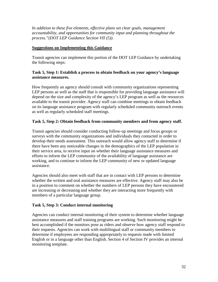In addition to these five elements, effective plans set clear goals, management *accountability, and opportunities for community input and planning throughout the process."(DOT LEP Guidance Section VII (5)).* 

## **Suggestions on Implementing this Guidance**

Transit agencies can implement this portion of the DOT LEP Guidance by undertaking the following steps:

## **Task 5, Step 1: Establish a process to obtain feedback on your agency's language assistance measures.**

How frequently an agency should consult with community organizations representing LEP persons as well as the staff that is responsible for providing language assistance will depend on the size and complexity of the agency's LEP program as well as the resources available to the transit provider. Agency staff can combine meetings to obtain feedback on its language assistance program with regularly scheduled community outreach events as well as regularly scheduled staff meetings.

# **Task 5, Step 2: Obtain feedback from community members and from agency staff.**

Transit agencies should consider conducting follow-up meetings and focus groups or surveys with the community organizations and individuals they contacted in order to develop their needs assessment. This outreach would allow agency staff to determine if there have been any noticeable changes in the demographics of the LEP population in their service area, to receive input on whether their language assistance measures and efforts to inform the LEP community of the availability of language assistance are working, and to continue to inform the LEP community of new or updated language assistance.

Agencies should also meet with staff that are in contact with LEP persons to determine whether the written and oral assistance measures are effective. Agency staff may also be in a position to comment on whether the numbers of LEP persons they have encountered are increasing or decreasing and whether they are interacting more frequently with members of a particular language group.

# **Task 5, Step 3: Conduct internal monitoring**

Agencies can conduct internal monitoring of their system to determine whether language assistance measures and staff training programs are working. Such monitoring might be best accomplished if the monitors pose as riders and observe how agency staff respond to their requests. Agencies can work with multilingual staff or community members to determine if employees are responding appropriately to requests made with limited English or in a language other than English. Section 4 of Section IV provides an internal monitoring template.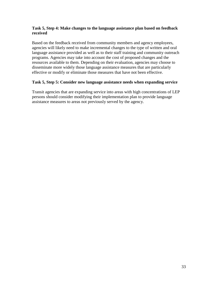## **Task 5, Step 4: Make changes to the language assistance plan based on feedback received**

Based on the feedback received from community members and agency employees, agencies will likely need to make incremental changes to the type of written and oral language assistance provided as well as to their staff training and community outreach programs. Agencies may take into account the cost of proposed changes and the resources available to them. Depending on their evaluation, agencies may choose to disseminate more widely those language assistance measures that are particularly effective or modify or eliminate those measures that have not been effective.

## **Task 5, Step 5: Consider new language assistance needs when expanding service**

Transit agencies that are expanding service into areas with high concentrations of LEP persons should consider modifying their implementation plan to provide language assistance measures to areas not previously served by the agency.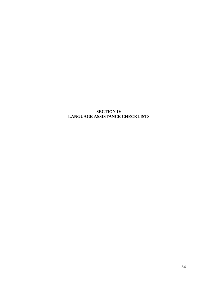# **SECTION IV LANGUAGE ASSISTANCE CHECKLISTS**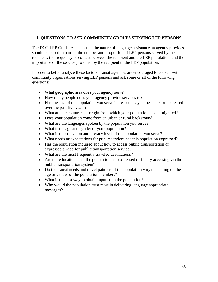# **1. QUESTIONS TO ASK COMMUNITY GROUPS SERVING LEP PERSONS**

The DOT LEP Guidance states that the nature of language assistance an agency provides should be based in part on the number and proportion of LEP persons served by the recipient, the frequency of contact between the recipient and the LEP population, and the importance of the service provided by the recipient to the LEP population.

In order to better analyze these factors, transit agencies are encouraged to consult with community organizations serving LEP persons and ask some or all of the following questions:

- What geographic area does your agency serve?
- How many people does your agency provide services to?
- Has the size of the population you serve increased, stayed the same, or decreased over the past five years?
- What are the countries of origin from which your population has immigrated?
- Does your population come from an urban or rural background?
- What are the languages spoken by the population you serve?
- What is the age and gender of your population?
- What is the education and literacy level of the population you serve?
- What needs or expectations for public services has this population expressed?
- Has the population inquired about how to access public transportation or expressed a need for public transportation service?
- What are the most frequently traveled destinations?
- Are there locations that the population has expressed difficulty accessing via the public transportation system?
- Do the transit needs and travel patterns of the population vary depending on the age or gender of the population members?
- What is the best way to obtain input from the population?
- Who would the population trust most in delivering language appropriate messages?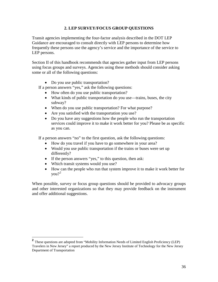# **2. LEP SURVEY/FOCUS GROUP QUESTIONS**

Transit agencies implementing the four-factor analysis described in the DOT LEP Guidance are encouraged to consult directly with LEP persons to determine how frequently these persons use the agency's service and the importance of the service to LEP persons.

Section II of this handbook recommends that agencies gather input from LEP persons using focus groups and surveys. Agencies using these methods should consider asking some or all of the following questions:

• Do you use public transportation?

If a person answers "yes," ask the following questions:

- How often do you use public transportation?
- What kinds of public transportation do you use—trains, buses, the city subway?
- When do you use public transportation? For what purpose?
- Are you satisfied with the transportation you use?
- Do you have any suggestions how the people who run the transportation services could improve it to make it work better for you? Please be as specific as you can.

If a person answers "no" to the first question, ask the following questions:

- How do you travel if you have to go somewhere in your area?
- Would you use public transportation if the trains or buses were set up differently?
- If the person answers "yes," to this question, then ask:
- Which transit systems would you use?
- How can the people who run that system improve it to make it work better for you?<sup>[2](#page-35-0)</sup>

When possible, survey or focus group questions should be provided to advocacy groups and other interested organizations so that they may provide feedback on the instrument and offer additional suggestions.

<span id="page-35-0"></span>**<sup>2</sup>** These questions are adopted from "Mobility Information Needs of Limited English Proficiency (LEP) Travelers in New Jersey" a report produced by the New Jersey Institute of Technology for the New Jersey Department of Transportation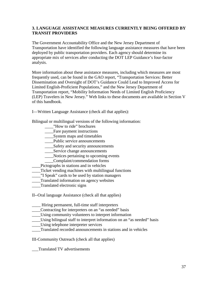# **3. LANGUAGE ASSISTANCE MEASURES CURRENTLY BEING OFFERED BY TRANSIT PROVIDERS**

The Government Accountability Office and the New Jersey Department of Transportation have identified the following language assistance measures that have been deployed by public transportation providers. Each agency should determine its appropriate mix of services after conducting the DOT LEP Guidance's four-factor analysis.

More information about these assistance measures, including which measures are most frequently used, can be found in the GAO report, "Transportation Services: Better Dissemination and Oversight of DOT's Guidance Could Lead to Improved Access for Limited English-Proficient Populations," and the New Jersey Department of Transportation report, "Mobility Information Needs of Limited English Proficiency (LEP) Travelers in New Jersey." Web links to these documents are available in Section V of this handbook.

I—Written Language Assistance (check all that applies):

Bilingual or multilingual versions of the following information:

- "How to ride" brochures
- \_\_\_\_Fare payment instructions
- \_\_\_\_System maps and timetables
- \_\_\_\_Public service announcements
- \_\_\_\_Safety and security announcements
- \_\_\_\_Service change announcements
- \_\_\_\_Notices pertaining to upcoming events
- \_\_\_\_Complaint/commendation forms
- \_\_\_\_Pictographs in stations and in vehicles
- Ticket vending machines with multilingual functions
- \_\_\_\_"I Speak" cards to be used by station managers
- \_\_\_\_Translated information on agency websites
- \_\_\_\_Translated electronic signs

II--Oral language Assistance (check all that applies)

\_\_\_\_ Hiring permanent, full-time staff interpreters

- \_\_\_\_Contracting for interpreters on an "as needed" basis
- \_\_\_\_Using community volunteers to interpret information
- Using bilingual staff to interpret information on an "as needed" basis
- \_\_\_\_Using telephone interpreter services

\_\_\_\_Translated recorded announcements in stations and in vehicles

III-Community Outreach (check all that applies)

\_\_\_Translated TV advertisements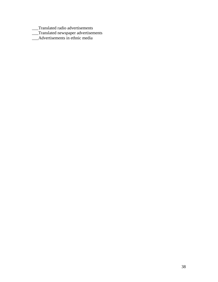- \_\_\_Translated radio advertisements
- \_\_\_Translated newspaper advertisements
- \_\_\_Advertisements in ethnic media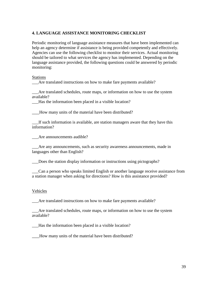## **4. LANGUAGE ASSISTANCE MONITORING CHECKLIST**

Periodic monitoring of language assistance measures that have been implemented can help an agency determine if assistance is being provided competently and effectively. Agencies can use the following checklist to monitor their services. Actual monitoring should be tailored to what services the agency has implemented. Depending on the language assistance provided, the following questions could be answered by periodic monitoring:

**Stations** 

\_\_\_Are translated instructions on how to make fare payments available?

\_\_\_Are translated schedules, route maps, or information on how to use the system available?

\_\_\_Has the information been placed in a visible location?

How many units of the material have been distributed?

\_\_\_If such information is available, are station managers aware that they have this information?

Are announcements audible?

\_\_\_Are any announcements, such as security awareness announcements, made in languages other than English?

\_\_\_Does the station display information or instructions using pictographs?

\_\_\_Can a person who speaks limited English or another language receive assistance from a station manager when asking for directions? How is this assistance provided?

#### Vehicles

\_\_\_Are translated instructions on how to make fare payments available?

\_\_\_Are translated schedules, route maps, or information on how to use the system available?

Has the information been placed in a visible location?

How many units of the material have been distributed?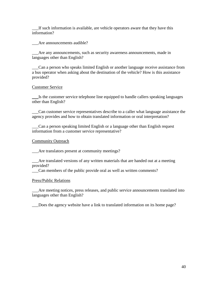If such information is available, are vehicle operators aware that they have this information?

\_\_\_Are announcements audible?

\_\_\_Are any announcements, such as security awareness announcements, made in languages other than English?

\_\_\_Can a person who speaks limited English or another language receive assistance from a bus operator when asking about the destination of the vehicle? How is this assistance provided?

## Customer Service

\_\_\_Is the customer service telephone line equipped to handle callers speaking languages other than English?

\_\_\_Can customer service representatives describe to a caller what language assistance the agency provides and how to obtain translated information or oral interpretation?

\_\_\_Can a person speaking limited English or a language other than English request information from a customer service representative?

Community Outreach

\_\_\_Are translators present at community meetings?

\_\_\_Are translated versions of any written materials that are handed out at a meeting provided?

\_\_\_Can members of the public provide oral as well as written comments?

#### Press/Public Relations

Are meeting notices, press releases, and public service announcements translated into languages other than English?

\_\_\_Does the agency website have a link to translated information on its home page?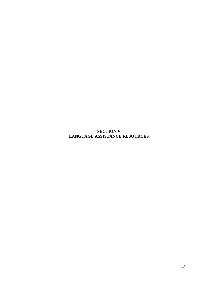**SECTION V LANGUAGE ASSISTANCE RESOURCES**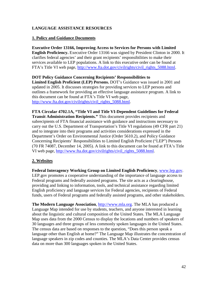# **LANGUAGE ASSISTANCE RESOURCES**

## **1. Policy and Guidance Documents**

**Executive Order 13166, Improving Access to Services for Persons with Limited English Proficiency.** Executive Order 13166 was signed by President Clinton in 2000. It clarifies federal agencies' and their grant recipients' responsibilities to make their services available to LEP populations. A link to this executive order can be found at FTA's Title VI web page, [http://www.fta.dot.gov/civilrights/civil\\_rights\\_5088.html.](http://www.fta.dot.gov/civilrights/civil_rights_5088.html)

**DOT Policy Guidance Concerning Recipients' Responsibilities to Limited English Proficient (LEP) Persons.** DOT's Guidance was issued in 2001 and updated in 2005. It discusses strategies for providing services to LEP persons and outlines a framework for providing an effective language assistance program. A link to this document can be found at FTA's Title VI web page, [http://www.fta.dot.gov/civilrights/civil\\_rights\\_5088.html.](http://www.fta.dot.gov/civilrights/civil_rights_5088.html)

**FTA Circular 4702.1A, "Title VI and Title VI-Dependent Guidelines for Federal Transit Administration Recipients."** This document provides recipients and subrecipients of FTA financial assistance with guidance and instructions necessary to carry out the U.S. Department of Transportation's Title VI regulations (49 CFR part 21) and to integrate into their programs and activities considerations expressed in the Department's Order on Environmental Justice (Order 5610.2), and Policy Guidance Concerning Recipients' Responsibilities to Limited English Proficient ("LEP") Persons (70 FR 74087, December 14, 2005). A link to this document can be found at FTA's Title VI web page, [http://www.fta.dot.gov/civilrights/civil\\_rights\\_5088.html.](http://www.fta.dot.gov/civilrights/civil_rights_5088.html)

# **2. Websites**

**Federal Interagency Working Group on Limited English Proficiency**, [www.lep.gov.](http://www.lep.gov/) LEP.gov promotes a cooperative understanding of the importance of language access to Federal programs and federally assisted programs. The site acts as a clearinghouse, providing and linking to information, tools, and technical assistance regarding limited English proficiency and language services for Federal agencies, recipients of Federal funds, users of Federal programs and federally assisted programs, and other stakeholders.

**The Modern Language Association**, [http://www.mla.org.](http://www.mla.org/) The MLA has produced a Language Map intended for use by students, teachers, and anyone interested in learning about the linguistic and cultural composition of the United States. The MLA Language Map uses data from the 2000 Census to display the locations and numbers of speakers of 30 languages and three groups of less commonly spoken languages in the United States. The census data are based on responses to the question, "Does this person speak a language other than English at home?" The Language Map illustrates the concentration of language speakers in zip codes and counties. The MLA's Data Center provides census data on more than 300 languages spoken in the United States.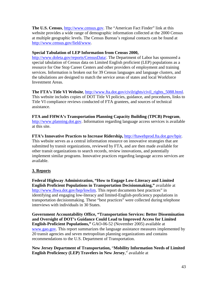**The U.S. Census**, [http://www.census.gov.](http://www.census.gov/) The "American Fact Finder" link at this website provides a wide range of demographic information collected at the 2000 Census at multiple geographic levels. The Census Bureau's regional contacts can be found at [http://www.census.gov/field/www.](http://www.census.gov/field/www)

# **Special Tabulation of LEP Information from Census 2000,**

[http://www.doleta.gov/reports/CensusData/.](http://www.doleta.gov/reports/CensusData/) The Department of Labor has sponsored a special tabulation of Census data on Limited English proficient (LEP) populations as a resource for One Stop Career Centers and other providers of employment and training services. Information is broken out for 39 Census languages and language clusters, and the tabulations are designed to match the service areas of states and local Workforce Investment Areas.

**The FTA's Title VI Website**, [http://www.fta.dot.gov/civilrights/civil\\_rights\\_5088.html.](http://www.fta.dot.gov/civilrights/civil_rights_5088.html) This website includes copies of DOT Title VI policies, guidance, and procedures, links to Title VI compliance reviews conducted of FTA grantees, and sources of technical assistance.

**FTA and FHWA's Transportation Planning Capacity Building (TPCB) Program**, [http://www.planning.dot.gov.](http://www.planning.dot.gov/) Information regarding language access services is available at this site.

**FTA's Innovative Practices to Increase Ridership,** [http://ftawebprod.fta.dot.gov/bpir.](http://ftawebprod.fta.dot.gov/bpir)

This website serves as a central information resource on innovative strategies that are submitted by transit organizations, reviewed by FTA, and are then made available for other transit organizations to search records, review innovations, and potentially implement similar programs. Innovative practices regarding language access services are available.

# **3. Reports**

**Federal Highway Administration, "How to Engage Low-Literacy and Limited English Proficient Populations in Transportation Decisionmaking,"** available at [http://www.fhwa.dot.gov/hep/lowlim.](http://www.fhwa.dot.gov/hep/lowlim) This report documents best practices" in identifying and engaging low-literacy and limited-English-proficiency populations in transportation decisionmaking. These "best practices" were collected during telephone interviews with individuals in 30 States.

**Government Accountability Office, "Transportation Services: Better Dissemination and Oversight of DOT's Guidance Could Lead to Improved Access for Limited English-Proficient Populations,"** GAO-06-52 (November 2005) available at [www.gao.gov.](http://www.gao.gov/) This report summarizes the language assistance measures implemented by 20 transit agencies and seven metropolitan planning organizations and contains recommendations to the U.S. Department of Transportation.

**New Jersey Department of Transportation,** "**Mobility Information Needs of Limited English Proficiency (LEP) Travelers in New Jersey**," available at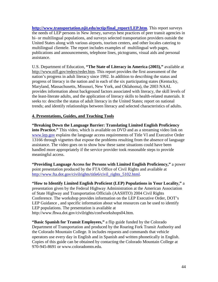**[http://www.transportation.njit.edu/nctip/final\\_report/LEP.htm](http://www.transportation.njit.edu/nctip/final_report/LEP.htm)**. This report surveys the needs of LEP persons in New Jersey, surveys best practices of peer transit agencies in bi- or multilingual populations, and surveys selected transportation providers outside the United States along with various airports, tourism centers, and other locales catering to multilingual clientele. The report includes examples of multilingual web pages, publications and announcements, telephone lines, pictograms, visual aids and personal assistance.

U.S. Department of Education, **"The State of Literacy in America (2003),"** available at [http://www.nifl.gov/reders/reder.htm.](http://www.nifl.gov/reders/reder.htm) This report provides the first assessment of the nation's progress in adult literacy since 1992. In addition to describing the status and progress of literacy in the nation and in each of the six participating states (Kentucky, Maryland, Massachusetts, Missouri, New York, and Oklahoma), the 2003 NAAL provides information about background factors associated with literacy, the skill levels of the least-literate adults, and the application of literacy skills to health-related materials. It seeks to: describe the status of adult literacy in the United States; report on national trends; and identify relationships between literacy and selected characteristics of adults.

# **4. Presentations, Guides, and Teaching Tools**

**"Breaking Down the Language Barrier: Translating Limited English Proficiency into Practice."** This video, which is available on DVD and as a streaming video link on [www.lep.gov](http://www.lep.gov/) explains the language access requirements of Title VI and Executive Order 13166 through vignettes that expose the problems resulting from the absence of language assistance. The video goes on to show how these same situations could have been handled more appropriately if the service provider took reasonable steps to provide meaningful access.

**"Providing Language Access for Persons with Limited English Proficiency,"** a power point presentation produced by the FTA Office of Civil Rights and available at [http://www.fta.dot.gov/civilrights/title6/civil\\_rights\\_5102.html.](http://www.fta.dot.gov/civilrights/title6/civil_rights_5102.html)

**"How to Identify Limited English Proficient (LEP) Populations in Your Locality,"** a presentation given by the Federal Highway Administration at the American Association of State Highway and Transportation Officials (AASHTO) 2004 Civil Rights Conference. The workshop provides information on the LEP Executive Order, DOT's LEP Guidance , and specific information about what resources can be used to identify LEP populations. The presentation is available at http://www.fhwa.dot.gov/civilrights/confworkshops04.htm.

**"Basic Spanish for Transit Employees,"** a flip guide funded by the Colorado Department of Transportation and produced by the Roaring Fork Transit Authority and the Colorado Mountain College. It includes requests and commands that vehicle operators use every day in English and in Spanish and written phonetically in English. Copies of this guide can be obtained by contacting the Colorado Mountain College at 970-945-8691 or www.coloradomtn.edu.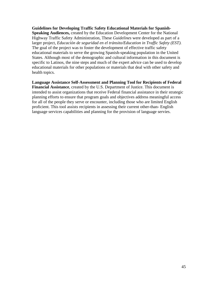**Guidelines for Developing Traffic Safety Educational Materials for Spanish-Speaking Audiences,** created by the Education Development Center for the National Highway Traffic Safety Administration, These *Guidelines* were developed as part of a larger project, *Educación de seguridad en el tránsito/Education in Traffic Safety (EST).* The goal of the project was to foster the development of effective traffic safety educational materials to serve the growing Spanish-speaking population in the United States. Although most of the demographic and cultural information in this document is specific to Latinos, the nine steps and much of the expert advice can be used to develop educational materials for other populations or materials that deal with other safety and health topics.

**Language Assistance Self-Assessment and Planning Tool for Recipients of Federal** 

**Financial Assistance**, created by the U.S. Department of Justice. This document is intended to assist organizations that receive Federal financial assistance in their strategic planning efforts to ensure that program goals and objectives address meaningful access for all of the people they serve or encounter, including those who are limited English proficient. This tool assists recipients in assessing their current other-than- English language services capabilities and planning for the provision of language servies.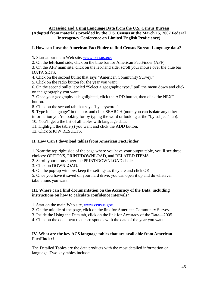#### **Accessing and Using Language Data from the U.S. Census Bureau (Adopted from materials provided by the U.S. Census at the March 15, 2007 Federal Interagency Conference on Limited English Proficiency)**

# **I. How can I use the American FactFinder to find Census Bureau Language data?**

**1.** Start at our main Web site, [www.census.gov](http://www.census.gov/)

2. On the left-hand side, click on the blue bar for American FactFinder (AFF)

3. On the AFF main site, click on the lef-hand side, scroll your mouse over the blue bar DATA SETS.

4. Click on the second bullet that says "American Community Survey."

5. Click on the radio button for the year you want.

6. On the second bullet labeled "Select a geographic type," pull the menu down and click on the geography you want.

7. Once your geography is highlighted, click the ADD button, then click the NEXT button.

8. Click on the second tab that says "by keyword."

9. Type in "language" in the box and click SEARCH (note: you can isolate any other information you're looking for by typing the word or looking at the "by subject" tab). 10. You'll get a the list of all tables with language data.

11. Highlight the table(s) you want and click the ADD button.

12. Click SHOW RESULTS.

# **II. How Can I download tables from American FactFinder**

1. Near the top right side of the page where you have your output table, you'll see three choices: OPTIONS, PRINT/DOWNLOAD, and RELATED ITEMS.

2. Scroll your mouse over the PRINT/DOWNLOAD choice.

3. Click on DOWNLOAD.

4. On the pop-up window, keep the settings as they are and click OK.

5. Once you have it saved on your hard drive, you can open it up and do whatever tabulations you want.

## **III. Where can I find documentation on the Accuracy of the Data, including instructions on how to calculate confidence intervals?**

1. Start on the main Web site, [www.census.gov.](http://www.census.gov/)

2. On the middle of the page, click on the link for American Community Survey.

3. Inside the Using the Data tab, click on the link for Accuracy of the Data—2005.

4. Click on the document that corresponds with the data of the year you want.

# **IV. What are the key ACS language tables that are avail able from American FactFinder?**

The Detailed Tables are the data products with the most detailed information on language. Two key tables include: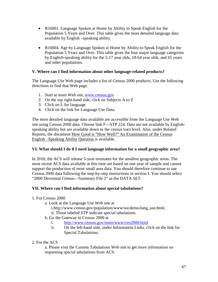- B16001. Language Spoken at Home by Ability to Speak English for the Population 5 Years and Over. This table gives the most detailed language data available by English –speaking ability.
- B16004. Age by Language Spoken at Home by Ability to Speak English for the Population 5 Years and Over. This table gives the four major language categories by English-speaking ability for the 5-17 year olds, 18-64 year olds, and 65 years and older populations.

# **V. Where can I find information about other language-related products?**

The Language Use Web page includes a list of Census 2000 products. Use the following directions to find that Web page.

- 1. Start at main Web site, [www.census.gov](http://www.census.gov/)
- 2. On the top right-hand side, click on Subjects A to Z
- 3. Click on L for language
- 4. Click on the link for Language Use Data.

The most detailed language data available are accessible from the Language Use Web site using Census 2000 data. Choose link F---STP 224. Data are not available by Englishspeaking ability but are available down to the census tract level. Also, under Related Reports, the document How Good is "How Well?" An Examination of the Census English –Speaking Ability Question is available.

# **VI. What should I do if I need language information for a small geographic area?**

In 2010, the ACS will release 5-year estimates for the smallest geographic areas. The most recent ACS data available at this time are based on one year of sample and cannot support the production of most small area data. You should therefore continue to use Census 2000 data following the step-by-step instructions in section I. You should select "2000 Decennial Census—Summary File 3" as the DATA SET.

#### **VII. Where can I find information about special tabulations?**

- 1. For Census 2000
	- a. Look at the Language Use Web site at
		- i.http://www.census.gov/population/www/socdemo/lang\_use.html. ii. Those labeled STP indicate special tabulations.
	- b. Go the Gateway to Census 2000 at
		- i. <http://www.census.gov/main/www/cen2000.html>
		- ii. On the left-hand side, under Information Links, click on the link for Special Tabulations.
- 2. For the ACS

a. Please visit the Custom Tabulations Web site to get more information on requesting special tabulations from ACS.